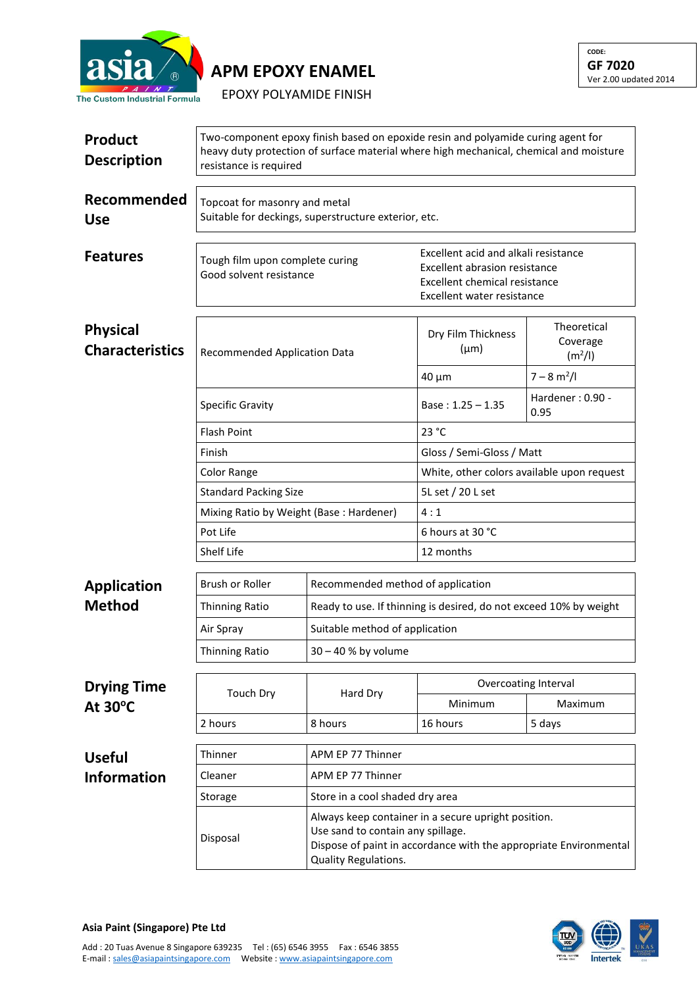

## **APM EPOXY ENAMEL**

EPOXY POLYAMIDE FINISH

| Product<br><b>Description</b>             | Two-component epoxy finish based on epoxide resin and polyamide curing agent for<br>heavy duty protection of surface material where high mechanical, chemical and moisture<br>resistance is required |                                                     |                                                                                                                                      |                                                |  |  |
|-------------------------------------------|------------------------------------------------------------------------------------------------------------------------------------------------------------------------------------------------------|-----------------------------------------------------|--------------------------------------------------------------------------------------------------------------------------------------|------------------------------------------------|--|--|
| Recommended<br><b>Use</b>                 | Topcoat for masonry and metal<br>Suitable for deckings, superstructure exterior, etc.                                                                                                                |                                                     |                                                                                                                                      |                                                |  |  |
| <b>Features</b>                           | Tough film upon complete curing<br>Good solvent resistance                                                                                                                                           |                                                     | Excellent acid and alkali resistance<br>Excellent abrasion resistance<br>Excellent chemical resistance<br>Excellent water resistance |                                                |  |  |
| <b>Physical</b><br><b>Characteristics</b> | Recommended Application Data                                                                                                                                                                         |                                                     | Dry Film Thickness<br>$(\mu m)$                                                                                                      | Theoretical<br>Coverage<br>(m <sup>2</sup> /I) |  |  |
|                                           |                                                                                                                                                                                                      |                                                     | $40 \mu m$                                                                                                                           | $7 - 8 m2/I$                                   |  |  |
|                                           | <b>Specific Gravity</b>                                                                                                                                                                              |                                                     | Base: $1.25 - 1.35$                                                                                                                  | Hardener: 0.90 -<br>0.95                       |  |  |
|                                           | <b>Flash Point</b>                                                                                                                                                                                   |                                                     | 23 °C                                                                                                                                |                                                |  |  |
|                                           | Finish                                                                                                                                                                                               |                                                     | Gloss / Semi-Gloss / Matt                                                                                                            |                                                |  |  |
|                                           | Color Range<br><b>Standard Packing Size</b><br>Mixing Ratio by Weight (Base: Hardener)<br>Pot Life<br>Shelf Life                                                                                     |                                                     | White, other colors available upon request                                                                                           |                                                |  |  |
|                                           |                                                                                                                                                                                                      |                                                     | 5L set / 20 L set                                                                                                                    |                                                |  |  |
|                                           |                                                                                                                                                                                                      |                                                     | 4:1                                                                                                                                  |                                                |  |  |
|                                           |                                                                                                                                                                                                      |                                                     | 6 hours at 30 °C                                                                                                                     |                                                |  |  |
|                                           |                                                                                                                                                                                                      |                                                     | 12 months                                                                                                                            |                                                |  |  |
| <b>Application</b>                        | Brush or Roller                                                                                                                                                                                      | Recommended method of application                   | Ready to use. If thinning is desired, do not exceed 10% by weight                                                                    |                                                |  |  |
| <b>Method</b>                             | <b>Thinning Ratio</b>                                                                                                                                                                                |                                                     |                                                                                                                                      |                                                |  |  |
|                                           | Air Spray                                                                                                                                                                                            | Suitable method of application                      |                                                                                                                                      |                                                |  |  |
|                                           | Thinning Ratio                                                                                                                                                                                       | 30 - 40 % by volume                                 |                                                                                                                                      |                                                |  |  |
| <b>Drying Time</b>                        | <b>Touch Dry</b>                                                                                                                                                                                     | Hard Dry                                            | Overcoating Interval                                                                                                                 |                                                |  |  |
| At $30^{\circ}$ C                         |                                                                                                                                                                                                      |                                                     | Minimum                                                                                                                              | Maximum                                        |  |  |
|                                           | 2 hours                                                                                                                                                                                              | 8 hours                                             | 16 hours                                                                                                                             | 5 days                                         |  |  |
|                                           | Thinner                                                                                                                                                                                              | APM EP 77 Thinner                                   |                                                                                                                                      |                                                |  |  |
| <b>Useful</b><br><b>Information</b>       | Cleaner                                                                                                                                                                                              | APM EP 77 Thinner                                   |                                                                                                                                      |                                                |  |  |
|                                           | Storage                                                                                                                                                                                              | Store in a cool shaded dry area                     |                                                                                                                                      |                                                |  |  |
|                                           |                                                                                                                                                                                                      | Always keep container in a secure upright position. |                                                                                                                                      |                                                |  |  |
|                                           | Disposal                                                                                                                                                                                             | Quality Regulations.                                | Use sand to contain any spillage.<br>Dispose of paint in accordance with the appropriate Environmental                               |                                                |  |  |